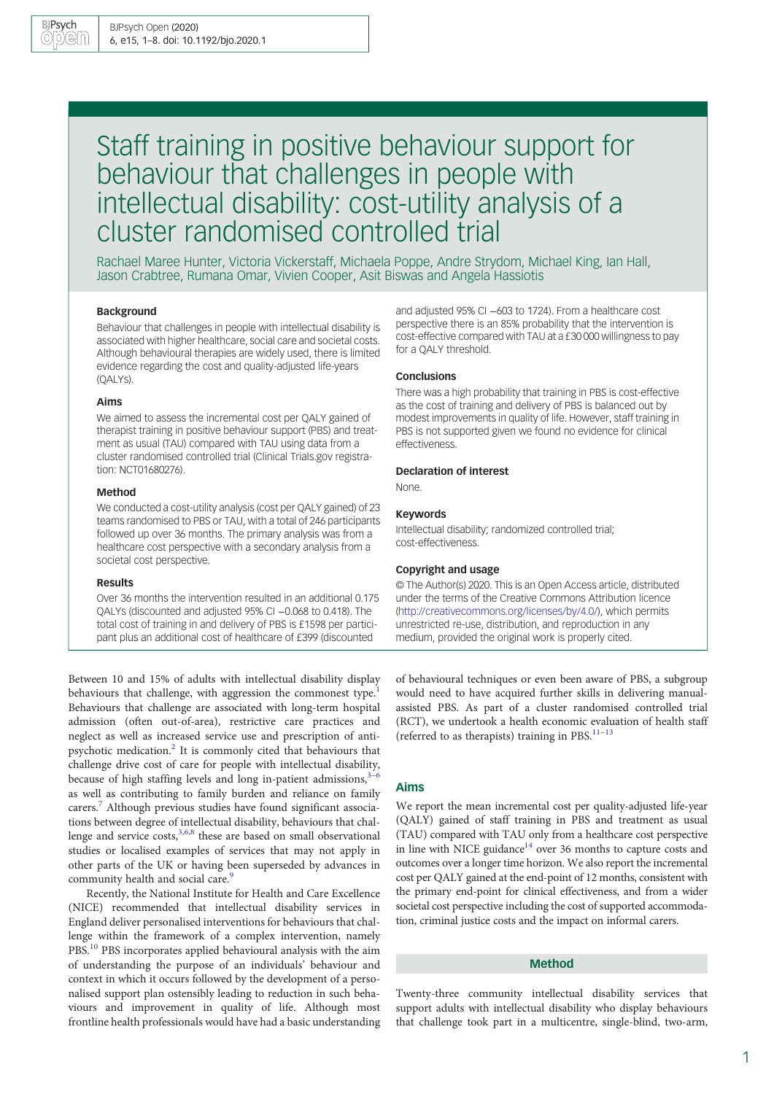# Staff training in positive behaviour support for behaviour that challenges in people with intellectual disability: cost-utility analysis of a cluster randomised controlled trial

Rachael Maree Hunter, Victoria Vickerstaff, Michaela Poppe, Andre Strydom, Michael King, Ian Hall, Jason Crabtree, Rumana Omar, Vivien Cooper, Asit Biswas and Angela Hassiotis

## Background

Behaviour that challenges in people with intellectual disability is associated with higher healthcare, social care and societal costs. Although behavioural therapies are widely used, there is limited evidence regarding the cost and quality-adjusted life-years (QALYs).

#### Aims

We aimed to assess the incremental cost per QALY gained of therapist training in positive behaviour support (PBS) and treatment as usual (TAU) compared with TAU using data from a cluster randomised controlled trial (Clinical Trials.gov registration: NCT01680276).

#### Method

We conducted a cost-utility analysis (cost per QALY gained) of 23 teams randomised to PBS or TAU, with a total of 246 participants followed up over 36 months. The primary analysis was from a healthcare cost perspective with a secondary analysis from a societal cost perspective.

#### Results

Over 36 months the intervention resulted in an additional 0.175 QALYs (discounted and adjusted 95% CI -0.068 to 0.418). The total cost of training in and delivery of PBS is £1598 per participant plus an additional cost of healthcare of £399 (discounted

Between 10 and 15% of adults with intellectual disability display behaviours that challenge, with aggression the commonest type. Behaviours that challenge are associated with long-term hospital admission (often out-of-area), restrictive care practices and neglect as well as increased service use and prescription of antipsychotic medication.[2](#page-6-0) It is commonly cited that behaviours that challenge drive cost of care for people with intellectual disability, because of high staffing levels and long in-patient admissions,  $3-6$  $3-6$  $3-6$ as well as contributing to family burden and reliance on family carers.[7](#page-6-0) Although previous studies have found significant associations between degree of intellectual disability, behaviours that challenge and service  $costs<sub>3</sub><sup>3,6,8</sup>$  $costs<sub>3</sub><sup>3,6,8</sup>$  $costs<sub>3</sub><sup>3,6,8</sup>$  $costs<sub>3</sub><sup>3,6,8</sup>$  $costs<sub>3</sub><sup>3,6,8</sup>$  these are based on small observational studies or localised examples of services that may not apply in other parts of the UK or having been superseded by advances in community health and social care.<sup>[9](#page-6-0)</sup>

Recently, the National Institute for Health and Care Excellence (NICE) recommended that intellectual disability services in England deliver personalised interventions for behaviours that challenge within the framework of a complex intervention, namely PBS.[10](#page-6-0) PBS incorporates applied behavioural analysis with the aim of understanding the purpose of an individuals' behaviour and context in which it occurs followed by the development of a personalised support plan ostensibly leading to reduction in such behaviours and improvement in quality of life. Although most frontline health professionals would have had a basic understanding and adjusted 95% CI −603 to 1724). From a healthcare cost perspective there is an 85% probability that the intervention is cost-effective compared with TAU at a £30 000 willingness to pay for a QALY threshold.

#### Conclusions

There was a high probability that training in PBS is cost-effective as the cost of training and delivery of PBS is balanced out by modest improvements in quality of life. However, staff training in PBS is not supported given we found no evidence for clinical effectiveness.

# Declaration of interest

None.

## Keywords

Intellectual disability; randomized controlled trial; cost-effectiveness.

#### Copyright and usage

© The Author(s) 2020. This is an Open Access article, distributed under the terms of the Creative Commons Attribution licence [\(http://creativecommons.org/licenses/by/4.0/\)](http://creativecommons.org/licenses/by/4.0/), which permits unrestricted re-use, distribution, and reproduction in any medium, provided the original work is properly cited.

of behavioural techniques or even been aware of PBS, a subgroup would need to have acquired further skills in delivering manualassisted PBS. As part of a cluster randomised controlled trial (RCT), we undertook a health economic evaluation of health staff (referred to as therapists) training in PBS.[11](#page-6-0)–[13](#page-6-0)

## Aims

We report the mean incremental cost per quality-adjusted life-year (QALY) gained of staff training in PBS and treatment as usual (TAU) compared with TAU only from a healthcare cost perspective in line with NICE guidance $14$  over 36 months to capture costs and outcomes over a longer time horizon. We also report the incremental cost per QALY gained at the end-point of 12 months, consistent with the primary end-point for clinical effectiveness, and from a wider societal cost perspective including the cost of supported accommodation, criminal justice costs and the impact on informal carers.

# Method

Twenty-three community intellectual disability services that support adults with intellectual disability who display behaviours that challenge took part in a multicentre, single-blind, two-arm,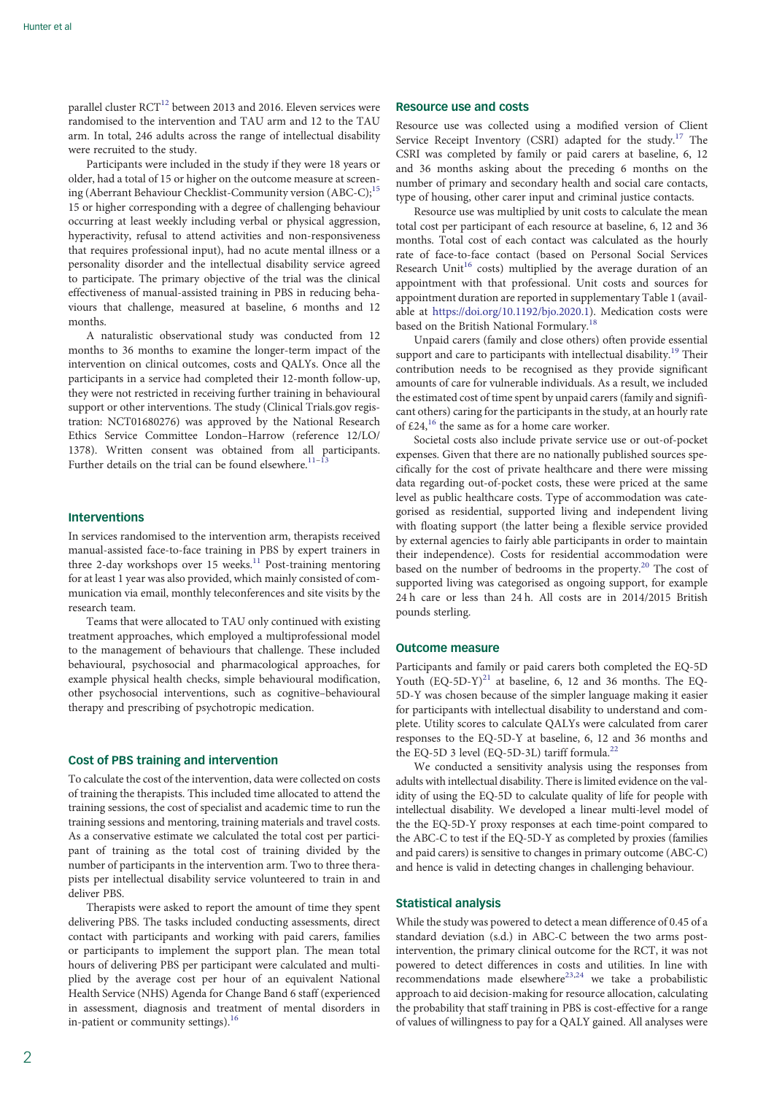parallel cluster  $\text{RCT}^{12}$  $\text{RCT}^{12}$  $\text{RCT}^{12}$  between 2013 and 2016. Eleven services were randomised to the intervention and TAU arm and 12 to the TAU arm. In total, 246 adults across the range of intellectual disability were recruited to the study.

Participants were included in the study if they were 18 years or older, had a total of 15 or higher on the outcome measure at screen-ing (Aberrant Behaviour Checklist-Community version (ABC-C);<sup>[15](#page-6-0)</sup> 15 or higher corresponding with a degree of challenging behaviour occurring at least weekly including verbal or physical aggression, hyperactivity, refusal to attend activities and non-responsiveness that requires professional input), had no acute mental illness or a personality disorder and the intellectual disability service agreed to participate. The primary objective of the trial was the clinical effectiveness of manual-assisted training in PBS in reducing behaviours that challenge, measured at baseline, 6 months and 12 months.

A naturalistic observational study was conducted from 12 months to 36 months to examine the longer-term impact of the intervention on clinical outcomes, costs and QALYs. Once all the participants in a service had completed their 12-month follow-up, they were not restricted in receiving further training in behavioural support or other interventions. The study (Clinical Trials.gov registration: NCT01680276) was approved by the National Research Ethics Service Committee London–Harrow (reference 12/LO/ 1378). Written consent was obtained from all participants. Further details on the trial can be found elsewhere.<sup>[11](#page-6-0)-1</sup>

## Interventions

In services randomised to the intervention arm, therapists received manual-assisted face-to-face training in PBS by expert trainers in three 2-day workshops over 15 weeks.<sup>[11](#page-6-0)</sup> Post-training mentoring for at least 1 year was also provided, which mainly consisted of communication via email, monthly teleconferences and site visits by the research team.

Teams that were allocated to TAU only continued with existing treatment approaches, which employed a multiprofessional model to the management of behaviours that challenge. These included behavioural, psychosocial and pharmacological approaches, for example physical health checks, simple behavioural modification, other psychosocial interventions, such as cognitive–behavioural therapy and prescribing of psychotropic medication.

## Cost of PBS training and intervention

To calculate the cost of the intervention, data were collected on costs of training the therapists. This included time allocated to attend the training sessions, the cost of specialist and academic time to run the training sessions and mentoring, training materials and travel costs. As a conservative estimate we calculated the total cost per participant of training as the total cost of training divided by the number of participants in the intervention arm. Two to three therapists per intellectual disability service volunteered to train in and deliver PBS.

Therapists were asked to report the amount of time they spent delivering PBS. The tasks included conducting assessments, direct contact with participants and working with paid carers, families or participants to implement the support plan. The mean total hours of delivering PBS per participant were calculated and multiplied by the average cost per hour of an equivalent National Health Service (NHS) Agenda for Change Band 6 staff (experienced in assessment, diagnosis and treatment of mental disorders in in-patient or community settings).<sup>[16](#page-6-0)</sup>

# Resource use and costs

Resource use was collected using a modified version of Client Service Receipt Inventory (CSRI) adapted for the study.<sup>17</sup> The CSRI was completed by family or paid carers at baseline, 6, 12 and 36 months asking about the preceding 6 months on the number of primary and secondary health and social care contacts, type of housing, other carer input and criminal justice contacts.

Resource use was multiplied by unit costs to calculate the mean total cost per participant of each resource at baseline, 6, 12 and 36 months. Total cost of each contact was calculated as the hourly rate of face-to-face contact (based on Personal Social Services Research Unit<sup>[16](#page-6-0)</sup> costs) multiplied by the average duration of an appointment with that professional. Unit costs and sources for appointment duration are reported in supplementary Table 1 (available at <https://doi.org/10.1192/bjo.2020.1>). Medication costs were based on the British National Formulary.[18](#page-6-0)

Unpaid carers (family and close others) often provide essential support and care to participants with intellectual disability.<sup>[19](#page-6-0)</sup> Their contribution needs to be recognised as they provide significant amounts of care for vulnerable individuals. As a result, we included the estimated cost of time spent by unpaid carers (family and significant others) caring for the participants in the study, at an hourly rate of  $\text{\pounds}24$ , <sup>[16](#page-6-0)</sup> the same as for a home care worker.

Societal costs also include private service use or out-of-pocket expenses. Given that there are no nationally published sources specifically for the cost of private healthcare and there were missing data regarding out-of-pocket costs, these were priced at the same level as public healthcare costs. Type of accommodation was categorised as residential, supported living and independent living with floating support (the latter being a flexible service provided by external agencies to fairly able participants in order to maintain their independence). Costs for residential accommodation were based on the number of bedrooms in the property.<sup>[20](#page-6-0)</sup> The cost of supported living was categorised as ongoing support, for example 24 h care or less than 24 h. All costs are in 2014/2015 British pounds sterling.

## Outcome measure

Participants and family or paid carers both completed the EQ-5D Youth  $(EQ-5D-Y)^{21}$  $(EQ-5D-Y)^{21}$  $(EQ-5D-Y)^{21}$  at baseline, 6, 12 and 36 months. The EQ-5D-Y was chosen because of the simpler language making it easier for participants with intellectual disability to understand and complete. Utility scores to calculate QALYs were calculated from carer responses to the EQ-5D-Y at baseline, 6, 12 and 36 months and the EQ-5D 3 level (EQ-5D-3L) tariff formula.<sup>2</sup>

We conducted a sensitivity analysis using the responses from adults with intellectual disability. There is limited evidence on the validity of using the EQ-5D to calculate quality of life for people with intellectual disability. We developed a linear multi-level model of the the EQ-5D-Y proxy responses at each time-point compared to the ABC-C to test if the EQ-5D-Y as completed by proxies (families and paid carers) is sensitive to changes in primary outcome (ABC-C) and hence is valid in detecting changes in challenging behaviour.

# Statistical analysis

While the study was powered to detect a mean difference of 0.45 of a standard deviation (s.d.) in ABC-C between the two arms postintervention, the primary clinical outcome for the RCT, it was not powered to detect differences in costs and utilities. In line with recommendations made elsewhere $2^{3,24}$  $2^{3,24}$  $2^{3,24}$  we take a probabilistic approach to aid decision-making for resource allocation, calculating the probability that staff training in PBS is cost-effective for a range of values of willingness to pay for a QALY gained. All analyses were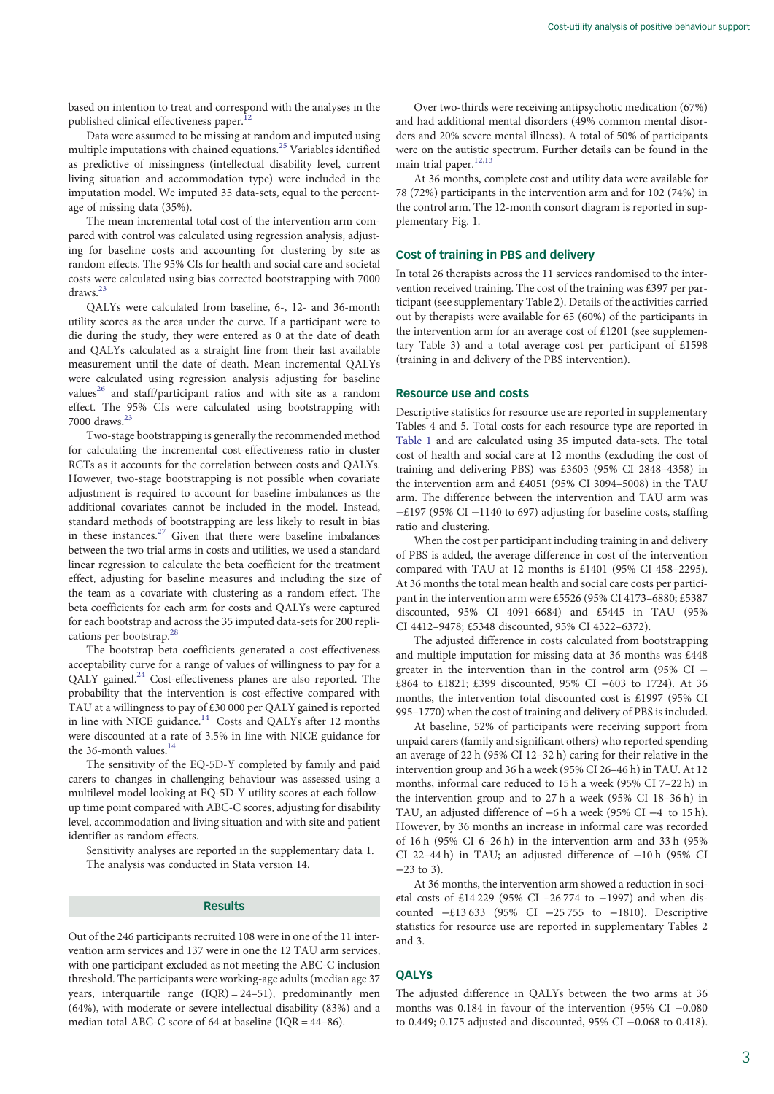based on intention to treat and correspond with the analyses in the published clinical effectiveness paper.<sup>[12](#page-6-0)</sup>

Data were assumed to be missing at random and imputed using multiple imputations with chained equations.[25](#page-6-0) Variables identified as predictive of missingness (intellectual disability level, current living situation and accommodation type) were included in the imputation model. We imputed 35 data-sets, equal to the percentage of missing data (35%).

The mean incremental total cost of the intervention arm compared with control was calculated using regression analysis, adjusting for baseline costs and accounting for clustering by site as random effects. The 95% CIs for health and social care and societal costs were calculated using bias corrected bootstrapping with 7000 draws.[23](#page-6-0)

QALYs were calculated from baseline, 6-, 12- and 36-month utility scores as the area under the curve. If a participant were to die during the study, they were entered as 0 at the date of death and QALYs calculated as a straight line from their last available measurement until the date of death. Mean incremental QALYs were calculated using regression analysis adjusting for baseline values<sup>26</sup> and staff/participant ratios and with site as a random effect. The 95% CIs were calculated using bootstrapping with 7000 draws.[23](#page-6-0)

Two-stage bootstrapping is generally the recommended method for calculating the incremental cost-effectiveness ratio in cluster RCTs as it accounts for the correlation between costs and QALYs. However, two-stage bootstrapping is not possible when covariate adjustment is required to account for baseline imbalances as the additional covariates cannot be included in the model. Instead, standard methods of bootstrapping are less likely to result in bias in these instances. $27$  Given that there were baseline imbalances between the two trial arms in costs and utilities, we used a standard linear regression to calculate the beta coefficient for the treatment effect, adjusting for baseline measures and including the size of the team as a covariate with clustering as a random effect. The beta coefficients for each arm for costs and QALYs were captured for each bootstrap and across the 35 imputed data-sets for 200 replications per bootstrap.<sup>2</sup>

The bootstrap beta coefficients generated a cost-effectiveness acceptability curve for a range of values of willingness to pay for a QALY gained.<sup>24</sup> Cost-effectiveness planes are also reported. The probability that the intervention is cost-effective compared with TAU at a willingness to pay of £30 000 per QALY gained is reported in line with NICE guidance.<sup>[14](#page-6-0)</sup> Costs and OALYs after 12 months were discounted at a rate of 3.5% in line with NICE guidance for the 36-month values.  $^{\rm 14}$  $^{\rm 14}$  $^{\rm 14}$ 

The sensitivity of the EQ-5D-Y completed by family and paid carers to changes in challenging behaviour was assessed using a multilevel model looking at EQ-5D-Y utility scores at each followup time point compared with ABC-C scores, adjusting for disability level, accommodation and living situation and with site and patient identifier as random effects.

Sensitivity analyses are reported in the supplementary data 1. The analysis was conducted in Stata version 14.

#### **Results**

Out of the 246 participants recruited 108 were in one of the 11 intervention arm services and 137 were in one the 12 TAU arm services, with one participant excluded as not meeting the ABC-C inclusion threshold. The participants were working-age adults (median age 37 years, interquartile range  $(IQR) = 24-51$ , predominantly men (64%), with moderate or severe intellectual disability (83%) and a median total ABC-C score of 64 at baseline (IQR = 44–86).

Over two-thirds were receiving antipsychotic medication (67%) and had additional mental disorders (49% common mental disorders and 20% severe mental illness). A total of 50% of participants were on the autistic spectrum. Further details can be found in the main trial paper.<sup>[12](#page-6-0),[13](#page-6-0)</sup>

At 36 months, complete cost and utility data were available for 78 (72%) participants in the intervention arm and for 102 (74%) in the control arm. The 12-month consort diagram is reported in supplementary Fig. 1.

## Cost of training in PBS and delivery

In total 26 therapists across the 11 services randomised to the intervention received training. The cost of the training was £397 per participant (see supplementary Table 2). Details of the activities carried out by therapists were available for 65 (60%) of the participants in the intervention arm for an average cost of £1201 (see supplementary Table 3) and a total average cost per participant of £1598 (training in and delivery of the PBS intervention).

## Resource use and costs

Descriptive statistics for resource use are reported in supplementary Tables 4 and 5. Total costs for each resource type are reported in [Table 1](#page-3-0) and are calculated using 35 imputed data-sets. The total cost of health and social care at 12 months (excluding the cost of training and delivering PBS) was £3603 (95% CI 2848–4358) in the intervention arm and £4051 (95% CI 3094–5008) in the TAU arm. The difference between the intervention and TAU arm was −£197 (95% CI −1140 to 697) adjusting for baseline costs, staffing ratio and clustering.

When the cost per participant including training in and delivery of PBS is added, the average difference in cost of the intervention compared with TAU at 12 months is £1401 (95% CI 458–2295). At 36 months the total mean health and social care costs per participant in the intervention arm were £5526 (95% CI 4173–6880; £5387 discounted, 95% CI 4091–6684) and £5445 in TAU (95% CI 4412–9478; £5348 discounted, 95% CI 4322–6372).

The adjusted difference in costs calculated from bootstrapping and multiple imputation for missing data at 36 months was £448 greater in the intervention than in the control arm (95% CI − £864 to £1821; £399 discounted, 95% CI −603 to 1724). At 36 months, the intervention total discounted cost is £1997 (95% CI 995–1770) when the cost of training and delivery of PBS is included.

At baseline, 52% of participants were receiving support from unpaid carers (family and significant others) who reported spending an average of 22 h (95% CI 12–32 h) caring for their relative in the intervention group and 36 h a week (95% CI 26–46 h) in TAU. At 12 months, informal care reduced to 15 h a week (95% CI 7–22 h) in the intervention group and to 27 h a week (95% CI 18–36 h) in TAU, an adjusted difference of −6 h a week (95% CI −4 to 15 h). However, by 36 months an increase in informal care was recorded of 16 h (95% CI 6–26 h) in the intervention arm and 33 h (95% CI 22–44 h) in TAU; an adjusted difference of −10 h (95% CI  $-23$  to 3).

At 36 months, the intervention arm showed a reduction in societal costs of £14 229 (95% CI –26 774 to −1997) and when discounted −£13 633 (95% CI −25 755 to −1810). Descriptive statistics for resource use are reported in supplementary Tables 2 and 3.

# **QALYS**

The adjusted difference in QALYs between the two arms at 36 months was 0.184 in favour of the intervention (95% CI −0.080 to 0.449; 0.175 adjusted and discounted, 95% CI −0.068 to 0.418).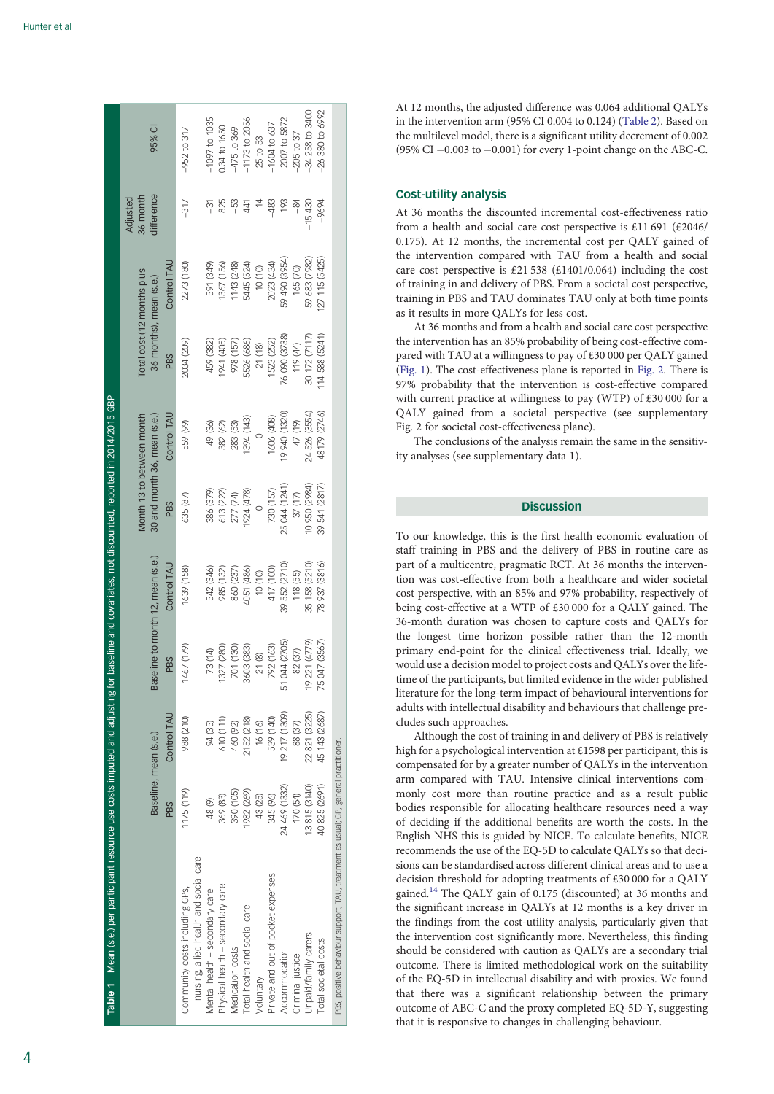<span id="page-3-0"></span>

|                                                                                     | Baseline, mean (s.e.) |               | Baseline to month 12, mean (s.e.) |               | 30 and month 36, mean (s.e.)<br>Month 13 to between month |               | Total cost (12 months plus<br>36 months), mean (s.e.) |                | difference<br>36-month<br>Adjusted | 95% CI             |
|-------------------------------------------------------------------------------------|-----------------------|---------------|-----------------------------------|---------------|-----------------------------------------------------------|---------------|-------------------------------------------------------|----------------|------------------------------------|--------------------|
|                                                                                     | PBS                   | Control TAU   | PBS                               | Control TAU   | PBS                                                       | Control TAU   | PBS                                                   | Control TAL    |                                    |                    |
| nursing, allied health and social care<br>Community costs including GPS,            | 1175 (119)            | 988 (210)     | 1467 (179)                        | 1639 (158)    | 635 (87)                                                  | 559 (99)      | 2034 (209)                                            | 2273 (180)     | $-317$                             | $-952$ to 317      |
| Mental health - secondary care                                                      | 48(9)                 | 94 (35)       | 73 (14)                           | 542 (346)     | 386 (379)                                                 | 49 (36)       | 459 (382)                                             | 591 (349)      |                                    | -1097 to 1035      |
| Physical health - secondary care                                                    | 369 (83)              | 610 (111)     | 1327 (280)                        | 985 (132)     | 613 (222)                                                 | 382 (62)      | 1941 (405)                                            | 1367 (156)     | 825                                | 0.34 to 1650       |
| Medication costs                                                                    | 390 (105)             | 460 (92)      | 701 (130)                         | 860 (237)     | 277 (74)                                                  | 283 (53)      | 978 (157)                                             | 143 (248)      | အို                                | $-475$ to 369      |
| Total health and social care                                                        | 1982 (269)            | 2152 (218)    | 3603 (383)                        | 486)          | 1924 (478)                                                | 1394 (143)    | 5526 (686)                                            | 5445 (524)     |                                    | $-1173$ to 2056    |
| Voluntary                                                                           | 43 (25)               | 16 (16)       | 21 (8)                            | 10 (10)       | $\circ$                                                   | $\circ$       | 21 (18)                                               | 10(10)         |                                    | $-25$ to $53$      |
| Private and out of pocket expenses                                                  | 345 (96)              | 539 (140)     | 792 (163)                         | 417 (100)     | 730 (157)                                                 | 1606 (408)    | 1523 (252)                                            | 2023 (434)     | $-483$                             | $-1604$ to 637     |
| Accommodation                                                                       | 24 469 (1332)         | 19 217 (1309) | 044 (2705)<br>51                  | 39 552 (2710) | 25 044 (1241                                              | 19940 (1320   | 76 090 (3738)                                         | 59 490 (3954)  | 193                                | $-2007$ to 5872    |
| Criminal justice                                                                    | 170 (54)              | 88 (37)       | 37)<br>$\approx$                  | 118 (55)      | 37 (17)                                                   | 47 (19)       | 119 (44)                                              | 165 (70)       | శ                                  | $-205$ to 37       |
| Unpaid/family carers                                                                | 13815 (3140)          | 22 821 (3225) | (4779)<br>221<br>6L               | 35 158 (5210) | 0950 (2984)                                               | 24 526 (3554) | 30 172 (7117)                                         | 59 683 (7982)  | $-15430$                           | $-34258$ to 3400   |
| Total societal costs                                                                | 40 825 (2691)         | 45 143 (2687) | 047 (3567)<br>75                  | 78 937 (3816) | 39 541 (2817)                                             | 48179 (2746)  | 114 588 (5241)                                        | 127 115 (5425) | $-9694$                            | $-26380$ to $6992$ |
| PBS, positive behaviour support; TAU, treatment as usual; GP, general practitioner. |                       |               |                                   |               |                                                           |               |                                                       |                |                                    |                    |

Table 1 Mean (s.e.) per participant resource use costs imputed and adjusting for baseline and covariates, not discounted, reported in 2014/2015 GBP

rable 1 Mean (s.e.) per participant resource use costs imputed and adjusting for baseline and covariates, not discounted, reported in 2014/2015 GBF

At 12 months, the adjusted difference was 0.064 additional QALYs in the intervention arm (95% CI 0.004 to 0.124) ([Table 2](#page-4-0)). Based on the multilevel model, there is a significant utility decrement of 0.002 (95% CI −0.003 to −0.001) for every 1-point change on the ABC-C.

# Cost-utility analysis

At 36 months the discounted incremental cost-effectiveness ratio from a health and social care cost perspective is £11 691 (£2046/ 0.175). At 12 months, the incremental cost per QALY gained of the intervention compared with TAU from a health and social care cost perspective is £21 538 (£1401/0.064) including the cost of training in and delivery of PBS. From a societal cost perspective, training in PBS and TAU dominates TAU only at both time points as it results in more QALYs for less cost.

At 36 months and from a health and social care cost perspective the intervention has an 85% probability of being cost-effective compared with TAU at a willingness to pay of £30 000 per QALY gained ([Fig. 1\)](#page-4-0). The cost-effectiveness plane is reported in [Fig. 2](#page-5-0). There is 97% probability that the intervention is cost-effective compared with current practice at willingness to pay (WTP) of £30 000 for a QALY gained from a societal perspective (see supplementary Fig. 2 for societal cost-effectiveness plane).

The conclusions of the analysis remain the same in the sensitivity analyses (see supplementary data 1).

# **Discussion**

To our knowledge, this is the first health economic evaluation of staff training in PBS and the delivery of PBS in routine care as part of a multicentre, pragmatic RCT. At 36 months the intervention was cost-effective from both a healthcare and wider societal cost perspective, with an 85% and 97% probability, respectively of being cost-effective at a WTP of £30 000 for a QALY gained. The 36-month duration was chosen to capture costs and QALYs for the longest time horizon possible rather than the 12-month primary end-point for the clinical effectiveness trial. Ideally, we would use a decision model to project costs and QALYs over the lifetime of the participants, but limited evidence in the wider published literature for the long-term impact of behavioural interventions for adults with intellectual disability and behaviours that challenge precludes such approaches.

Although the cost of training in and delivery of PBS is relatively high for a psychological intervention at £1598 per participant, this is compensated for by a greater number of QALYs in the intervention arm compared with TAU. Intensive clinical interventions commonly cost more than routine practice and as a result public bodies responsible for allocating healthcare resources need a way of deciding if the additional benefits are worth the costs. In the English NHS this is guided by NICE. To calculate benefits, NICE recommends the use of the EQ-5D to calculate QALYs so that decisions can be standardised across different clinical areas and to use a decision threshold for adopting treatments of £30 000 for a QALY gained.[14](#page-6-0) The QALY gain of 0.175 (discounted) at 36 months and the significant increase in QALYs at 12 months is a key driver in the findings from the cost-utility analysis, particularly given that the intervention cost significantly more. Nevertheless, this finding should be considered with caution as QALYs are a secondary trial outcome. There is limited methodological work on the suitability of the EQ-5D in intellectual disability and with proxies. We found that there was a significant relationship between the primary outcome of ABC-C and the proxy completed EQ-5D-Y, suggesting that it is responsive to changes in challenging behaviour.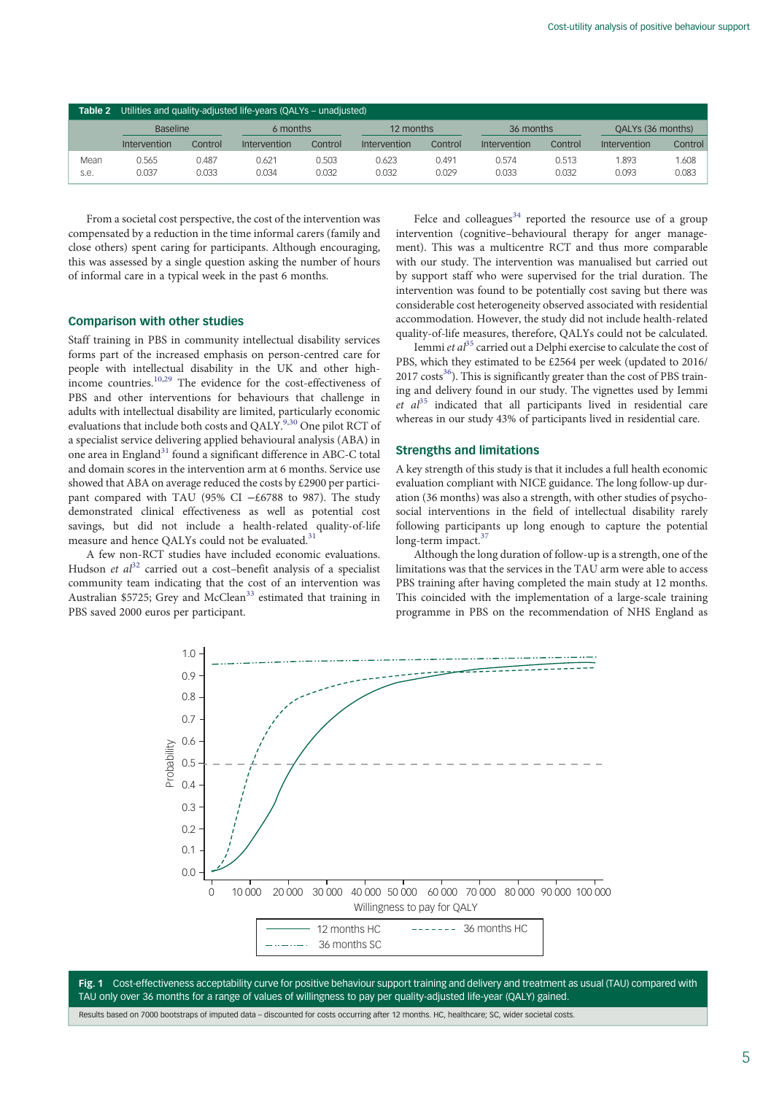<span id="page-4-0"></span>

| Table 2 | Utilities and quality-adjusted life-years (QALYs – unadjusted) |         |                     |         |              |         |              |         |                   |         |  |
|---------|----------------------------------------------------------------|---------|---------------------|---------|--------------|---------|--------------|---------|-------------------|---------|--|
|         | <b>Baseline</b>                                                |         | 6 months            |         | 12 months    |         | 36 months    |         | QALYs (36 months) |         |  |
|         | <b>Intervention</b>                                            | Control | <b>Intervention</b> | Control | Intervention | Control | Intervention | Control | Intervention      | Control |  |
| Mean    | 0.565                                                          | 0.487   | 0.621               | 0.503   | 0.623        | 0.491   | 0.574        | 0.513   | 1.893             | .608    |  |
| s.e.    | 0.037                                                          | 0.033   | 0.034               | 0.032   | 0.032        | 0.029   | 0.033        | 0.032   | 0.093             | 0.083   |  |

From a societal cost perspective, the cost of the intervention was compensated by a reduction in the time informal carers (family and close others) spent caring for participants. Although encouraging, this was assessed by a single question asking the number of hours of informal care in a typical week in the past 6 months.

# Comparison with other studies

Staff training in PBS in community intellectual disability services forms part of the increased emphasis on person-centred care for people with intellectual disability in the UK and other highincome countries.[10,29](#page-6-0) The evidence for the cost-effectiveness of PBS and other interventions for behaviours that challenge in adults with intellectual disability are limited, particularly economic evaluations that include both costs and QALY.<sup>[9,30](#page-6-0)</sup> One pilot RCT of a specialist service delivering applied behavioural analysis (ABA) in one area in England<sup>[31](#page-6-0)</sup> found a significant difference in ABC-C total and domain scores in the intervention arm at 6 months. Service use showed that ABA on average reduced the costs by £2900 per participant compared with TAU (95% CI −£6788 to 987). The study demonstrated clinical effectiveness as well as potential cost savings, but did not include a health-related quality-of-life measure and hence QALYs could not be evaluated.<sup>3</sup>

A few non-RCT studies have included economic evaluations. Hudson et  $al^{32}$  $al^{32}$  $al^{32}$  carried out a cost-benefit analysis of a specialist community team indicating that the cost of an intervention was Australian \$5725; Grey and McClean<sup>[33](#page-7-0)</sup> estimated that training in PBS saved 2000 euros per participant.

Felce and colleagues $34$  reported the resource use of a group intervention (cognitive–behavioural therapy for anger management). This was a multicentre RCT and thus more comparable with our study. The intervention was manualised but carried out by support staff who were supervised for the trial duration. The intervention was found to be potentially cost saving but there was considerable cost heterogeneity observed associated with residential accommodation. However, the study did not include health-related quality-of-life measures, therefore, QALYs could not be calculated.

Iemmi et  $a^{35}$  $a^{35}$  $a^{35}$  carried out a Delphi exercise to calculate the cost of PBS, which they estimated to be £2564 per week (updated to 2016/  $2017 \text{ costs}^{36}$  $2017 \text{ costs}^{36}$  $2017 \text{ costs}^{36}$ ). This is significantly greater than the cost of PBS training and delivery found in our study. The vignettes used by Iemmi et  $a^{35}$  $a^{35}$  $a^{35}$  indicated that all participants lived in residential care whereas in our study 43% of participants lived in residential care.

## Strengths and limitations

A key strength of this study is that it includes a full health economic evaluation compliant with NICE guidance. The long follow-up duration (36 months) was also a strength, with other studies of psychosocial interventions in the field of intellectual disability rarely following participants up long enough to capture the potential long-term impact. $3$ 

Although the long duration of follow-up is a strength, one of the limitations was that the services in the TAU arm were able to access PBS training after having completed the main study at 12 months. This coincided with the implementation of a large-scale training programme in PBS on the recommendation of NHS England as



Fig. 1 Cost-effectiveness acceptability curve for positive behaviour support training and delivery and treatment as usual (TAU) compared with TAU only over 36 months for a range of values of willingness to pay per quality-adjusted life-year (QALY) gained.

Results based on 7000 bootstraps of imputed data – discounted for costs occurring after 12 months. HC, healthcare; SC, wider societal costs.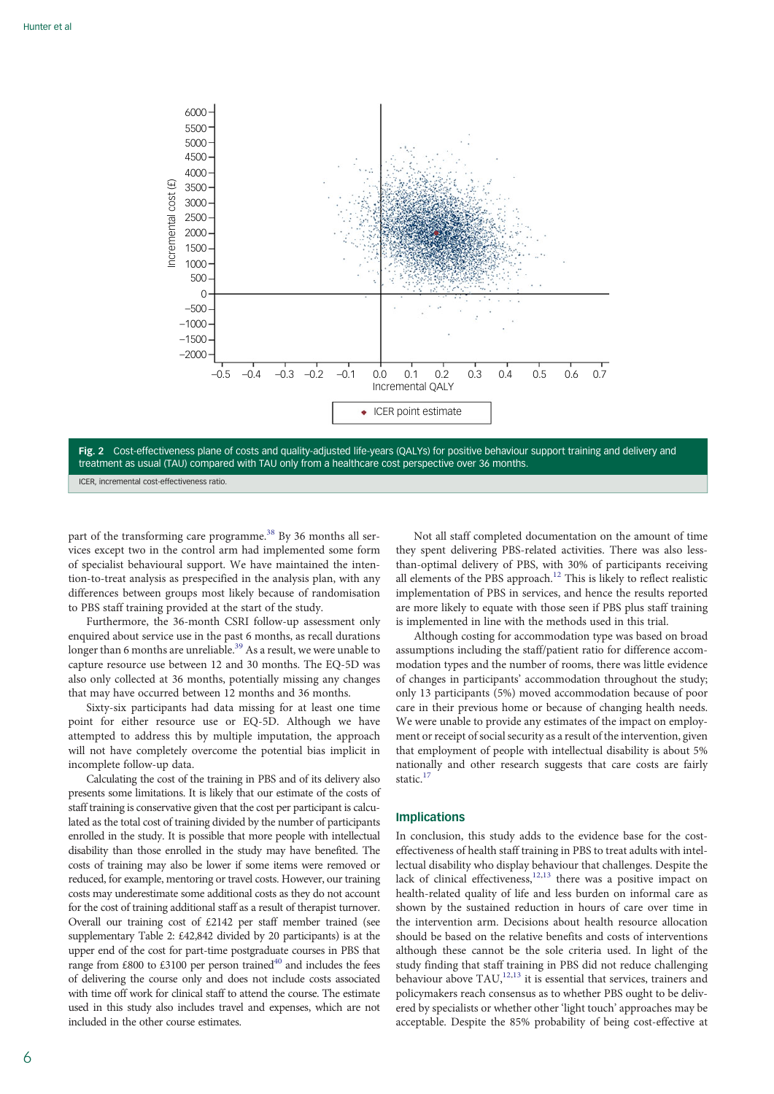<span id="page-5-0"></span>

Fig. 2 Cost-effectiveness plane of costs and quality-adjusted life-years (QALYs) for positive behaviour support training and delivery and treatment as usual (TAU) compared with TAU only from a healthcare cost perspective over 36 months.

ICER, incremental cost-effectiveness ratio.

part of the transforming care programme.<sup>[38](#page-7-0)</sup> By 36 months all services except two in the control arm had implemented some form of specialist behavioural support. We have maintained the intention-to-treat analysis as prespecified in the analysis plan, with any differences between groups most likely because of randomisation to PBS staff training provided at the start of the study.

Furthermore, the 36-month CSRI follow-up assessment only enquired about service use in the past 6 months, as recall durations longer than 6 months are unreliable.<sup>[39](#page-7-0)</sup> As a result, we were unable to capture resource use between 12 and 30 months. The EQ-5D was also only collected at 36 months, potentially missing any changes that may have occurred between 12 months and 36 months.

Sixty-six participants had data missing for at least one time point for either resource use or EQ-5D. Although we have attempted to address this by multiple imputation, the approach will not have completely overcome the potential bias implicit in incomplete follow-up data.

Calculating the cost of the training in PBS and of its delivery also presents some limitations. It is likely that our estimate of the costs of staff training is conservative given that the cost per participant is calculated as the total cost of training divided by the number of participants enrolled in the study. It is possible that more people with intellectual disability than those enrolled in the study may have benefited. The costs of training may also be lower if some items were removed or reduced, for example, mentoring or travel costs. However, our training costs may underestimate some additional costs as they do not account for the cost of training additional staff as a result of therapist turnover. Overall our training cost of £2142 per staff member trained (see supplementary Table 2: £42,842 divided by 20 participants) is at the upper end of the cost for part-time postgraduate courses in PBS that range from £800 to £3100 per person trained<sup>[40](#page-7-0)</sup> and includes the fees of delivering the course only and does not include costs associated with time off work for clinical staff to attend the course. The estimate used in this study also includes travel and expenses, which are not included in the other course estimates.

Not all staff completed documentation on the amount of time they spent delivering PBS-related activities. There was also lessthan-optimal delivery of PBS, with 30% of participants receiving all elements of the PBS approach.[12](#page-6-0) This is likely to reflect realistic implementation of PBS in services, and hence the results reported are more likely to equate with those seen if PBS plus staff training is implemented in line with the methods used in this trial.

Although costing for accommodation type was based on broad assumptions including the staff/patient ratio for difference accommodation types and the number of rooms, there was little evidence of changes in participants' accommodation throughout the study; only 13 participants (5%) moved accommodation because of poor care in their previous home or because of changing health needs. We were unable to provide any estimates of the impact on employment or receipt of social security as a result of the intervention, given that employment of people with intellectual disability is about 5% nationally and other research suggests that care costs are fairly static.<sup>[17](#page-6-0)</sup>

# Implications

In conclusion, this study adds to the evidence base for the costeffectiveness of health staff training in PBS to treat adults with intellectual disability who display behaviour that challenges. Despite the lack of clinical effectiveness, $12,13$  $12,13$  $12,13$  there was a positive impact on health-related quality of life and less burden on informal care as shown by the sustained reduction in hours of care over time in the intervention arm. Decisions about health resource allocation should be based on the relative benefits and costs of interventions although these cannot be the sole criteria used. In light of the study finding that staff training in PBS did not reduce challenging behaviour above  $TAU$ ,<sup>[12](#page-6-0),[13](#page-6-0)</sup> it is essential that services, trainers and policymakers reach consensus as to whether PBS ought to be delivered by specialists or whether other 'light touch' approaches may be acceptable. Despite the 85% probability of being cost-effective at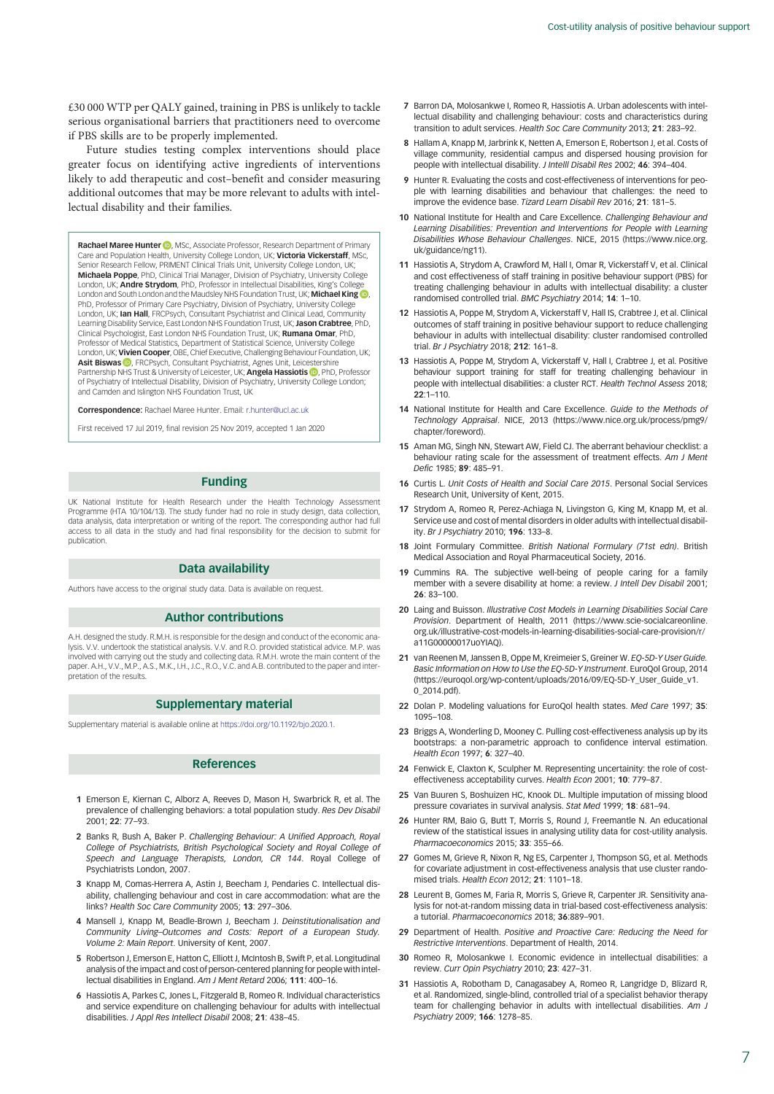<span id="page-6-0"></span>Future studies testing complex interventions should place greater focus on identifying active ingredients of interventions likely to add therapeutic and cost–benefit and consider measuring additional outcomes that may be more relevant to adults with intellectual disability and their families.

**Rachael Maree Hunter (D. MSc[,](https://orcid.org/0000-0002-7447-8934) Associate Professor, Research Department of Primary** Care and Population Health, University College London, UK; **Victoria Vickerstaff**, MSc, Senior Research Fellow, PRIMENT Clinical Trials Unit, University College London, UK; Michaela Poppe, PhD, Clinical Trial Manager, Division of Psychiatry, University College London, UK; Andre Strydom, PhD, Professor in Intellectual Disabilities, King's London and South London and the Maudsley NHS Foundation Trust[,](https://orcid.org/0000-0003-4715-7171) UK; Michael King **D**, PhD, Professor of Primary Care Psychiatry, Division of Psychiatry, University College<br>London, UK; **Ian Hall**, FRCPsych, Consultant Psychiatrist and Clinical Lead, Community Learning Disability Service, East London NHS Foundation Trust, UK; Jason Crabtree, PhD, Clinical Psychologist, East London NHS Foundation Trust, UK; **Rumana Omar**, PhD Professor of Medical Statistics, Department of Statistical Science, University College London, UK; Vivien Cooper, OBE, Chief Executive, Challenging Behaviour Foundation, UK; Asit Biswas **D** FRCPsych, Consultant Psychiatrist, Agnes Unit, Leicestershire Partnership NHS Trust & University of Leicester[,](https://orcid.org/0000-0002-9800-3909) UK; **Angela Hassiotis (D**, PhD, Professor of Psychiatry of Intellectual Disability, Division of Psychiatry, University College London; and Camden and Islington NHS Foundation Trust, UK

Correspondence: Rachael Maree Hunter. Email: [r.hunter@ucl.ac.uk](mailto:r.hunter@ucl.ac.uk)

First received 17 Jul 2019, final revision 25 Nov 2019, accepted 1 Jan 2020

## Funding

UK National Institute for Health Research under the Health Technology Assessment Programme (HTA 10/104/13). The study funder had no role in study design, data collection, data analysis, data interpretation or writing of the report. The corresponding author had full access to all data in the study and had final responsibility for the decision to submit for publication.

#### Data availability

Authors have access to the original study data. Data is available on request.

#### Author contributions

A.H. designed the study. R.M.H. is responsible for the design and conduct of the economic analysis. V.V. undertook the statistical analysis. V.V. and R.O. provided statistical advice. M.P. was involved with carrying out the study and collecting data. R.M.H. wrote the main content of the paper. A.H., V.V., M.P., A.S., M.K., I.H., J.C., R.O., V.C. and A.B. contributed to the paper and interpretation of the results.

#### Supplementary material

Supplementary material is available online at <https://doi.org/10.1192/bjo.2020.1>.

#### References

- 1 Emerson E, Kiernan C, Alborz A, Reeves D, Mason H, Swarbrick R, et al. The prevalence of challenging behaviors: a total population study. Res Dev Disabil .<br>2001: 22: 77–93.
- 2 Banks R, Bush A, Baker P. Challenging Behaviour: A Unified Approach, Royal College of Psychiatrists, British Psychological Society and Royal College of Speech and Language Therapists, London, CR 144. Royal College of Psychiatrists London, 2007.
- 3 Knapp M, Comas-Herrera A, Astin J, Beecham J, Pendaries C. Intellectual disability, challenging behaviour and cost in care accommodation: what are the links? Health Soc Care Community 2005; 13: 297–306.
- 4 Mansell J, Knapp M, Beadle-Brown J, Beecham J. Deinstitutionalisation and Community Living–Outcomes and Costs: Report of a European Study. Volume 2: Main Report. University of Kent, 2007.
- 5 Robertson J, Emerson E, Hatton C, Elliott J, McIntosh B, Swift P, et al. Longitudinal analysis of the impact and cost of person-centered planning for people with intellectual disabilities in England. Am J Ment Retard 2006; 111: 400–16.
- 6 Hassiotis A, Parkes C, Jones L, Fitzgerald B, Romeo R. Individual characteristics and service expenditure on challenging behaviour for adults with intellectual disabilities. J Appl Res Intellect Disabil 2008; 21: 438–45.
- 7 Barron DA, Molosankwe I, Romeo R, Hassiotis A. Urban adolescents with intellectual disability and challenging behaviour: costs and characteristics during transition to adult services. Health Soc Care Community 2013; 21: 283–92.
- 8 Hallam A, Knapp M, Jarbrink K, Netten A, Emerson E, Robertson J, et al. Costs of village community, residential campus and dispersed housing provision for people with intellectual disability. J Intelll Disabil Res 2002; 46: 394–404.
- 9 Hunter R. Evaluating the costs and cost-effectiveness of interventions for people with learning disabilities and behaviour that challenges: the need to improve the evidence base. Tizard Learn Disabil Rev 2016; 21: 181-5.
- 10 National Institute for Health and Care Excellence. Challenging Behaviour and Learning Disabilities: Prevention and Interventions for People with Learning Disabilities Whose Behaviour Challenges. NICE, 2015 (https://www.nice.org. uk/guidance/ng11).
- 11 Hassiotis A, Strydom A, Crawford M, Hall I, Omar R, Vickerstaff V, et al. Clinical and cost effectiveness of staff training in positive behaviour support (PBS) for treating challenging behaviour in adults with intellectual disability: a cluster randomised controlled trial. BMC Psychiatry 2014; 14: 1–10.
- 12 Hassiotis A, Poppe M, Strydom A, Vickerstaff V, Hall IS, Crabtree J, et al. Clinical outcomes of staff training in positive behaviour support to reduce challenging behaviour in adults with intellectual disability: cluster randomised controlled trial. Br J Psychiatry 2018; 212: 161–8.
- 13 Hassiotis A, Poppe M, Strydom A, Vickerstaff V, Hall I, Crabtree J, et al. Positive behaviour support training for staff for treating challenging behaviour in people with intellectual disabilities: a cluster RCT. Health Technol Assess 2018; 22:1–110.
- 14 National Institute for Health and Care Excellence. Guide to the Methods of Technology Appraisal. NICE, 2013 (https://www.nice.org.uk/process/pmg9/ chapter/foreword).
- 15 Aman MG, Singh NN, Stewart AW, Field CJ. The aberrant behaviour checklist: a behaviour rating scale for the assessment of treatment effects. Am J Ment Defic 1985; 89: 485–91.
- 16 Curtis L. Unit Costs of Health and Social Care 2015. Personal Social Services Research Unit, University of Kent, 2015.
- 17 Strydom A, Romeo R, Perez-Achiaga N, Livingston G, King M, Knapp M, et al. Service use and cost of mental disorders in older adults with intellectual disability. Br J Psychiatry 2010; 196: 133–8.
- 18 Joint Formulary Committee. British National Formulary (71st edn). British Medical Association and Royal Pharmaceutical Society, 2016.
- 19 Cummins RA. The subjective well-being of people caring for a family member with a severe disability at home: a review. J Intell Dev Disabil 2001; 26: 83–100.
- 20 Laing and Buisson. Illustrative Cost Models in Learning Disabilities Social Care Provision. Department of Health, 2011 (https://www.scie-socialcareonline. org.uk/illustrative-cost-models-in-learning-disabilities-social-care-provision/r/ a11G00000017uoYIAQ).
- 21 van Reenen M, Janssen B, Oppe M, Kreimeier S, Greiner W, EQ-5D-Y User Guide. Basic Information on How to Use the EQ-5D-Y Instrument. EuroQol Group, 2014 (https://euroqol.org/wp-content/uploads/2016/09/EQ-5D-Y\_User\_Guide\_v1. 0\_2014.pdf).
- 22 Dolan P. Modeling valuations for EuroQol health states. Med Care 1997; 35: 1095–108.
- 23 Briggs A, Wonderling D, Mooney C. Pulling cost-effectiveness analysis up by its bootstraps: a non-parametric approach to confidence interval estimation. Health Econ 1997; 6: 327–40.
- 24 Fenwick E, Claxton K, Sculpher M. Representing uncertainity: the role of costeffectiveness acceptability curves. Health Econ 2001; 10: 779–87.
- 25 Van Buuren S, Boshuizen HC, Knook DL. Multiple imputation of missing blood pressure covariates in survival analysis. Stat Med 1999; 18: 681–94.
- 26 Hunter RM, Baio G, Butt T, Morris S, Round J, Freemantle N. An educational review of the statistical issues in analysing utility data for cost-utility analysis. Pharmacoeconomics 2015; 33: 355–66.
- 27 Gomes M, Grieve R, Nixon R, Ng ES, Carpenter J, Thompson SG, et al. Methods for covariate adjustment in cost-effectiveness analysis that use cluster randomised trials. Health Fcon 2012; 21: 1101-18.
- 28 Leurent B, Gomes M, Faria R, Morris S, Grieve R, Carpenter JR, Sensitivity analysis for not-at-random missing data in trial-based cost-effectiveness analysis: a tutorial. Pharmacoeconomics 2018; 36:889–901.
- 29 Department of Health. Positive and Proactive Care: Reducing the Need for Restrictive Interventions. Department of Health, 2014.
- 30 Romeo R, Molosankwe I. Economic evidence in intellectual disabilities: a review. Curr Opin Psychiatry 2010; 23: 427–31.
- 31 Hassiotis A, Robotham D, Canagasabey A, Romeo R, Langridge D, Blizard R, et al. Randomized, single-blind, controlled trial of a specialist behavior therapy team for challenging behavior in adults with intellectual disabilities. Am J Psychiatry 2009; 166: 1278–85.